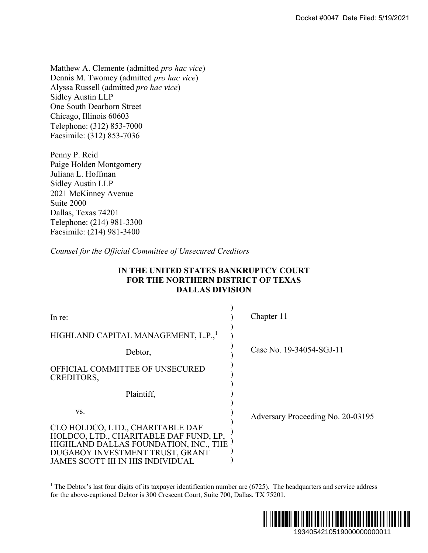# **IN THE UNITED STATES BANKRUPTCY COURT FOR THE NORTHERN DISTRICT OF TEXAS DALLAS DIVISION**

|                                                                                                                                                                                                                                                                                         | Docket #0047 Date Filed: 5/19/2021 |
|-----------------------------------------------------------------------------------------------------------------------------------------------------------------------------------------------------------------------------------------------------------------------------------------|------------------------------------|
|                                                                                                                                                                                                                                                                                         |                                    |
| Matthew A. Clemente (admitted <i>pro hac vice</i> )<br>Dennis M. Twomey (admitted pro hac vice)<br>Alyssa Russell (admitted pro hac vice)<br><b>Sidley Austin LLP</b><br>One South Dearborn Street<br>Chicago, Illinois 60603<br>Telephone: (312) 853-7000<br>Facsimile: (312) 853-7036 |                                    |
| Penny P. Reid<br>Paige Holden Montgomery<br>Juliana L. Hoffman<br>Sidley Austin LLP<br>2021 McKinney Avenue<br>Suite 2000<br>Dallas, Texas 74201<br>Telephone: (214) 981-3300<br>Facsimile: (214) 981-3400                                                                              |                                    |
| Counsel for the Official Committee of Unsecured Creditors                                                                                                                                                                                                                               |                                    |
| IN THE UNITED STATES BANKRUPTCY COURT<br><b>FOR THE NORTHERN DISTRICT OF TEXAS</b><br><b>DALLAS DIVISION</b>                                                                                                                                                                            |                                    |
| In re:                                                                                                                                                                                                                                                                                  | Chapter 11                         |
| HIGHLAND CAPITAL MANAGEMENT, L.P.,                                                                                                                                                                                                                                                      |                                    |
| Debtor,                                                                                                                                                                                                                                                                                 | Case No. 19-34054-SGJ-11           |
| OFFICIAL COMMITTEE OF UNSECURED<br>CREDITORS,                                                                                                                                                                                                                                           |                                    |
| Plaintiff,                                                                                                                                                                                                                                                                              |                                    |
| VS.<br>CLO HOLDCO, LTD., CHARITABLE DAF<br>HOLDCO, LTD., CHARITABLE DAF FUND, LP,<br>HIGHLAND DALLAS FOUNDATION, INC., THE<br>DUGABOY INVESTMENT TRUST, GRANT<br><b>JAMES SCOTT III IN HIS INDIVIDUAL</b>                                                                               | Adversary Proceeding No. 20-03195  |
| <sup>1</sup> The Debtor's last four digits of its taxpayer identification number are $(6725)$ . The headquarters and service address<br>for the above-captioned Debtor is 300 Crescent Court, Suite 700, Dallas, TX 75201.                                                              |                                    |
|                                                                                                                                                                                                                                                                                         | 1934054210519000000000011          |

<sup>&</sup>lt;sup>1</sup> The Debtor's last four digits of its taxpayer identification number are  $(6725)$ . The headquarters and service address for the above-captioned Debtor is 300 Crescent Court, Suite 700, Dallas, TX 75201.

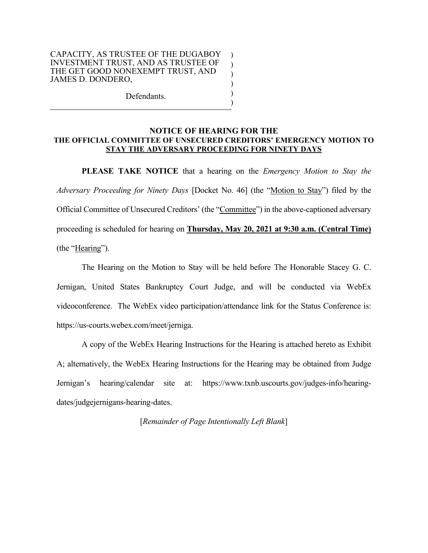#### CAPACITY, AS TRUSTEE OF THE DUGABOY INVESTMENT TRUST, AND AS TRUSTEE OF THE GET GOOD NONEXEMPT TRUST, AND JAMES D. DONDERO,

Defendants.

### **NOTICE OF HEARING FOR THE THE OFFICIAL COMMITTEE OF UNSECURED CREDITORS' EMERGENCY MOTION TO STAY THE ADVERSARY PROCEEDING FOR NINETY DAYS**

) ) ) ) ) )

**PLEASE TAKE NOTICE** that a hearing on the *Emergency Motion to Stay the Adversary Proceeding for Ninety Days* [Docket No. 46] (the "Motion to Stay") filed by the Official Committee of Unsecured Creditors' (the "Committee") in the above-captioned adversary proceeding is scheduled for hearing on **Thursday, May 20, 2021 at 9:30 a.m. (Central Time)** (the "Hearing").

The Hearing on the Motion to Stay will be held before The Honorable Stacey G. C. Jernigan, United States Bankruptcy Court Judge, and will be conducted via WebEx videoconference. The WebEx video participation/attendance link for the Status Conference is: https://us-courts.webex.com/meet/jerniga.

A copy of the WebEx Hearing Instructions for the Hearing is attached hereto as Exhibit A; alternatively, the WebEx Hearing Instructions for the Hearing may be obtained from Judge Jernigan's hearing/calendar site at: https://www.txnb.uscourts.gov/judges-info/hearingdates/judgejernigans-hearing-dates.

## [*Remainder of Page Intentionally Left Blank*]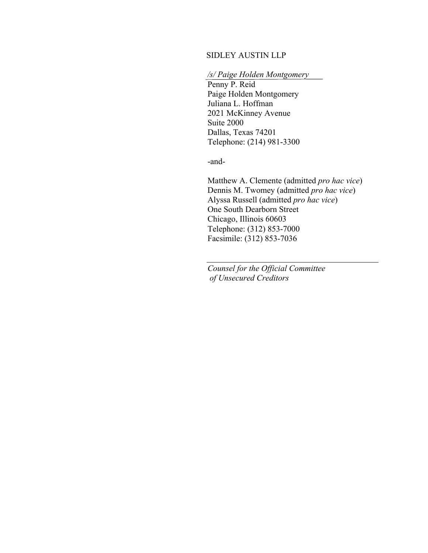### SIDLEY AUSTIN LLP

# */s/ Paige Holden Montgomery*

Penny P. Reid Paige Holden Montgomery Juliana L. Hoffman 2021 McKinney Avenue Suite 2000 Dallas, Texas 74201 Telephone: (214) 981-3300

-and-

Matthew A. Clemente (admitted *pro hac vice*) Dennis M. Twomey (admitted *pro hac vice*) Alyssa Russell (admitted *pro hac vice*) One South Dearborn Street Chicago, Illinois 60603 Telephone: (312) 853-7000 Facsimile: (312) 853-7036

*Counsel for the Official Committee of Unsecured Creditors*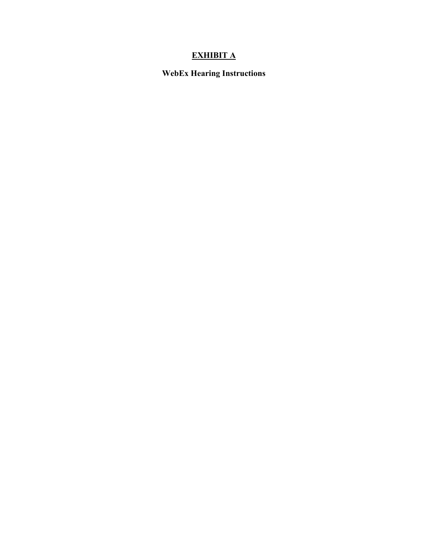# **EXHIBIT A**

**WebEx Hearing Instructions**